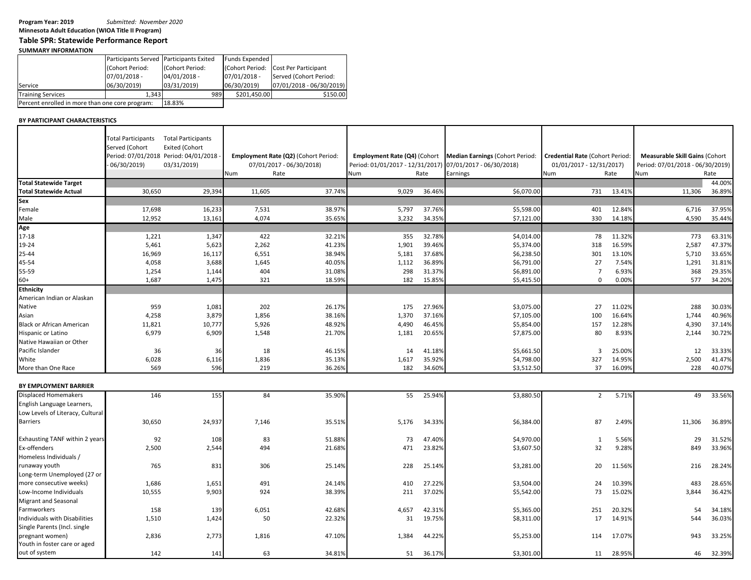**Minnesota Adult Education (WIOA Title II Program)**

## **Table SPR: Statewide Performance Report**

## **SUMMARY INFORMATION**

|                                                 | Participants Served Participants Exited |                 | <b>Funds Expended</b> |                                      |
|-------------------------------------------------|-----------------------------------------|-----------------|-----------------------|--------------------------------------|
|                                                 | (Cohort Period:                         | (Cohort Period: |                       | (Cohort Period: Cost Per Participant |
|                                                 | $07/01/2018 -$                          | $04/01/2018 -$  | 07/01/2018 -          | Served (Cohort Period:               |
| Service                                         | 06/30/2019)                             | 03/31/2019)     | 06/30/2019)           | 07/01/2018 - 06/30/2019)             |
| <b>Training Services</b>                        | 1.343                                   | 989             | \$201.450.00          | \$150.00                             |
| Percent enrolled in more than one core program: | 18.83%                                  |                 |                       |                                      |

## **BY PARTICIPANT CHARACTERISTICS**

|                                  | <b>Total Participants</b><br>Served (Cohort<br>06/30/2019 | <b>Total Participants</b><br><b>Exited (Cohort</b><br>Period: 07/01/2018 Period: 04/01/2018<br>03/31/2019) | Num    | Employment Rate (Q2) (Cohort Period:<br>07/01/2017 - 06/30/2018)<br>Rate | Employment Rate (Q4) (Cohort<br>Period: 01/01/2017 - 12/31/2017<br><b>Num</b> | Rate   | Median Earnings (Cohort Period:<br>07/01/2017 - 06/30/2018)<br>Earnings | <b>Credential Rate (Cohort Period:</b><br>01/01/2017 - 12/31/2017)<br>Num | Rate   | <b>Measurable Skill Gains (Cohort</b><br>Period: 07/01/2018 - 06/30/2019)<br>Num | Rate   |
|----------------------------------|-----------------------------------------------------------|------------------------------------------------------------------------------------------------------------|--------|--------------------------------------------------------------------------|-------------------------------------------------------------------------------|--------|-------------------------------------------------------------------------|---------------------------------------------------------------------------|--------|----------------------------------------------------------------------------------|--------|
| <b>Total Statewide Target</b>    |                                                           |                                                                                                            |        |                                                                          |                                                                               |        |                                                                         |                                                                           |        |                                                                                  | 44.00% |
| <b>Total Statewide Actual</b>    | 30,650                                                    | 29,394                                                                                                     | 11,605 | 37.74%                                                                   | 9,029                                                                         | 36.46% | \$6,070.00                                                              | 731                                                                       | 13.41% | 11,306                                                                           | 36.89% |
| Sex                              |                                                           |                                                                                                            |        |                                                                          |                                                                               |        |                                                                         |                                                                           |        |                                                                                  |        |
| Female                           | 17,698                                                    | 16,233                                                                                                     | 7,531  | 38.97%                                                                   | 5,797                                                                         | 37.769 | \$5,598.00                                                              | 401                                                                       | 12.84% | 6,716                                                                            | 37.95% |
| Male                             | 12,952                                                    | 13,161                                                                                                     | 4,074  | 35.65%                                                                   | 3,232                                                                         | 34.359 | \$7,121.00                                                              | 330                                                                       | 14.189 | 4,590                                                                            | 35.44% |
| Age                              |                                                           |                                                                                                            |        |                                                                          |                                                                               |        |                                                                         |                                                                           |        |                                                                                  |        |
| 17-18                            | 1,221                                                     | 1,347                                                                                                      | 422    | 32.21%                                                                   | 355                                                                           | 32.789 | \$4,014.00                                                              | 78                                                                        | 11.329 | 773                                                                              | 63.31% |
| 19-24                            | 5,461                                                     | 5,623                                                                                                      | 2,262  | 41.23%                                                                   | 1,901                                                                         | 39.46% | \$5,374.00                                                              | 318                                                                       | 16.59% | 2,587                                                                            | 47.37% |
| 25-44                            | 16,969                                                    |                                                                                                            | 6,551  | 38.94%                                                                   | 5,181                                                                         | 37.68% | \$6,238.50                                                              | 301                                                                       | 13.10% | 5,710                                                                            | 33.65% |
|                                  |                                                           | 16,117                                                                                                     |        |                                                                          |                                                                               |        |                                                                         |                                                                           |        |                                                                                  |        |
| 45-54                            | 4,058                                                     | 3,688                                                                                                      | 1,645  | 40.05%                                                                   | 1,112                                                                         | 36.89% | \$6,791.00                                                              | 27                                                                        | 7.54%  | 1,291                                                                            | 31.81% |
| 55-59                            | 1,254                                                     | 1,144                                                                                                      | 404    | 31.08%                                                                   | 298                                                                           | 31.37% | \$6,891.00                                                              | 7                                                                         | 6.93%  | 368                                                                              | 29.35% |
| $60+$                            | 1,687                                                     | 1,475                                                                                                      | 321    | 18.59%                                                                   | 182                                                                           | 15.859 | \$5,415.50                                                              | 0                                                                         | 0.00%  | 577                                                                              | 34.20% |
| <b>Ethnicity</b>                 |                                                           |                                                                                                            |        |                                                                          |                                                                               |        |                                                                         |                                                                           |        |                                                                                  |        |
| American Indian or Alaskan       |                                                           |                                                                                                            |        |                                                                          |                                                                               |        |                                                                         |                                                                           |        |                                                                                  |        |
| Native                           | 959                                                       | 1,081                                                                                                      | 202    | 26.17%                                                                   | 175                                                                           | 27.96% | \$3,075.00                                                              | 27                                                                        | 11.02% | 288                                                                              | 30.03% |
| Asian                            | 4,258                                                     | 3,879                                                                                                      | 1,856  | 38.16%                                                                   | 1,370                                                                         | 37.16% | \$7,105.00                                                              | 100                                                                       | 16.64% | 1,744                                                                            | 40.96% |
| <b>Black or African American</b> | 11,821                                                    | 10,777                                                                                                     | 5,926  | 48.92%                                                                   | 4,490                                                                         | 46.45% | \$5,854.00                                                              | 157                                                                       | 12.28% | 4,390                                                                            | 37.14% |
| Hispanic or Latino               | 6,979                                                     | 6,909                                                                                                      | 1,548  | 21.70%                                                                   | 1,181                                                                         | 20.65% | \$7,875.00                                                              | 80                                                                        | 8.93%  | 2,144                                                                            | 30.72% |
| Native Hawaiian or Other         |                                                           |                                                                                                            |        |                                                                          |                                                                               |        |                                                                         |                                                                           |        |                                                                                  |        |
| Pacific Islander                 | 36                                                        | 36                                                                                                         | 18     | 46.15%                                                                   | 14                                                                            | 41.18% | \$5,661.50                                                              | 3                                                                         | 25.00% | 12                                                                               | 33.33% |
| White                            | 6,028                                                     | 6,116                                                                                                      | 1,836  | 35.13%                                                                   | 1,617                                                                         | 35.92% | \$4,798.00                                                              | 327                                                                       | 14.95% | 2,500                                                                            | 41.47% |
| More than One Race               | 569                                                       | 596                                                                                                        | 219    | 36.26%                                                                   | 182                                                                           | 34.60% | \$3,512.50                                                              | 37                                                                        | 16.09% | 228                                                                              | 40.07% |
|                                  |                                                           |                                                                                                            |        |                                                                          |                                                                               |        |                                                                         |                                                                           |        |                                                                                  |        |
| BY EMPLOYMENT BARRIER            |                                                           |                                                                                                            |        |                                                                          |                                                                               |        |                                                                         |                                                                           |        |                                                                                  |        |
| <b>Displaced Homemakers</b>      | 146                                                       | 155                                                                                                        | 84     | 35.90%                                                                   | 55                                                                            | 25.94% | \$3,880.50                                                              | $\overline{2}$                                                            | 5.71%  | 49                                                                               | 33.56% |
|                                  |                                                           |                                                                                                            |        |                                                                          |                                                                               |        |                                                                         |                                                                           |        |                                                                                  |        |
| English Language Learners,       |                                                           |                                                                                                            |        |                                                                          |                                                                               |        |                                                                         |                                                                           |        |                                                                                  |        |
| Low Levels of Literacy, Cultural |                                                           |                                                                                                            |        |                                                                          |                                                                               |        |                                                                         |                                                                           |        |                                                                                  |        |
| <b>Barriers</b>                  | 30,650                                                    | 24,937                                                                                                     | 7,146  | 35.51%                                                                   | 5,176                                                                         | 34.33% | \$6,384.00                                                              | 87                                                                        | 2.49%  | 11,306                                                                           | 36.89% |
|                                  |                                                           |                                                                                                            |        |                                                                          |                                                                               |        |                                                                         |                                                                           |        |                                                                                  |        |
| Exhausting TANF within 2 years   | 92                                                        | 108                                                                                                        | 83     | 51.88%                                                                   | 73                                                                            | 47.40% | \$4,970.00                                                              | 1                                                                         | 5.56%  | 29                                                                               | 31.52% |
| Ex-offenders                     | 2,500                                                     | 2,544                                                                                                      | 494    | 21.68%                                                                   | 471                                                                           | 23.82% | \$3,607.50                                                              | 32                                                                        | 9.28%  | 849                                                                              | 33.96% |
| Homeless Individuals /           |                                                           |                                                                                                            |        |                                                                          |                                                                               |        |                                                                         |                                                                           |        |                                                                                  |        |
| runaway youth                    | 765                                                       | 831                                                                                                        | 306    | 25.14%                                                                   | 228                                                                           | 25.14% | \$3,281.00                                                              | 20                                                                        | 11.56% | 216                                                                              | 28.24% |
| Long-term Unemployed (27 or      |                                                           |                                                                                                            |        |                                                                          |                                                                               |        |                                                                         |                                                                           |        |                                                                                  |        |
| more consecutive weeks)          | 1,686                                                     | 1,651                                                                                                      | 491    | 24.14%                                                                   | 410                                                                           | 27.22% | \$3,504.00                                                              | 24                                                                        | 10.39% | 483                                                                              | 28.65% |
| Low-Income Individuals           | 10,555                                                    | 9,903                                                                                                      | 924    | 38.39%                                                                   | 211                                                                           | 37.02% | \$5,542.00                                                              | 73                                                                        | 15.02% | 3,844                                                                            | 36.42% |
| Migrant and Seasonal             |                                                           |                                                                                                            |        |                                                                          |                                                                               |        |                                                                         |                                                                           |        |                                                                                  |        |
| Farmworkers                      | 158                                                       | 139                                                                                                        | 6,051  | 42.68%                                                                   | 4,657                                                                         | 42.31% | \$5,365.00                                                              | 251                                                                       | 20.32% | 54                                                                               | 34.18% |
| Individuals with Disabilities    | 1,510                                                     | 1,424                                                                                                      | 50     | 22.32%                                                                   | 31                                                                            | 19.75% | \$8,311.00                                                              | 17                                                                        | 14.91% | 544                                                                              | 36.03% |
| Single Parents (Incl. single     |                                                           |                                                                                                            |        |                                                                          |                                                                               |        |                                                                         |                                                                           |        |                                                                                  |        |
| pregnant women)                  |                                                           |                                                                                                            |        | 47.10%                                                                   |                                                                               |        |                                                                         | 114                                                                       | 17.07% | 943                                                                              |        |
| Youth in foster care or aged     | 2,836                                                     | 2,773                                                                                                      | 1,816  |                                                                          | 1,384                                                                         | 44.22% | \$5,253.00                                                              |                                                                           |        |                                                                                  | 33.25% |
|                                  |                                                           |                                                                                                            |        |                                                                          |                                                                               |        |                                                                         |                                                                           |        |                                                                                  |        |
| out of system                    | 142                                                       | 141                                                                                                        | 63     | 34.81%                                                                   | 51                                                                            | 36.17% | \$3,301.00                                                              | 11                                                                        | 28.95% | 46                                                                               | 32.39% |